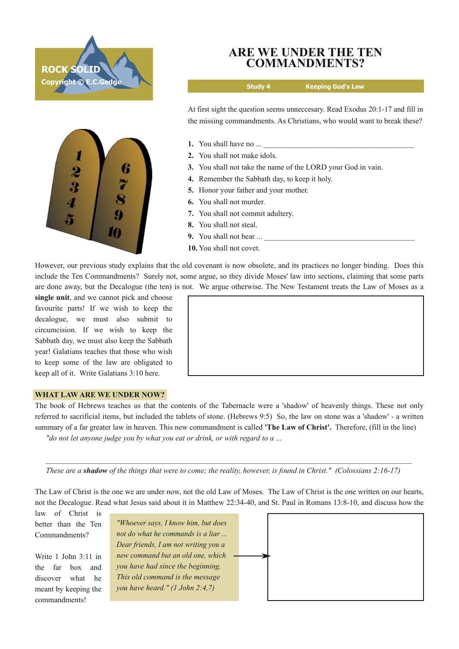



## **ARE WE UNDER THE TEN COMMANDMENTS?**

**Study 4 Keeping God's Law**

At first sight the question seems unneccesary. Read Exodus 20:1-17 and fill in the missing commandments. As Christians, who would want to break these?

- **1.** You shall have no ...
- **2.** You shall not make idols.
- **3.** You shall not take the name of the LORD your God in vain.
- **4.** Remember the Sabbath day, to keep it holy.
- **5.** Honor your father and your mother.
- **6.** You shall not murder.
- **7.** You shall not commit adultery.
- **8.** You shall not steal.
- **9.** You shall not bear ...
- **10.** You shall not covet.

However, our previous study explains that the old covenant is now obsolete, and its practices no longer binding. Does this include the Ten Commandments? Surely not, some argue, so they divide Moses' law into sections, claiming that some parts are done away, but the Decalogue (the ten) is not. We argue otherwise. The New Testament treats the Law of Moses as a

**single unit**, and we cannot pick and choose favourite parts! If we wish to keep the decalogue, we must also submit to circumcision. If we wish to keep the Sabbath day, we must also keep the Sabbath year! Galatians teaches that those who wish to keep some of the law are obligated to keep all of it. Write Galatians 3:10 here.



## **WHAT LAW ARE WE UNDER NOW?**

The book of Hebrews teaches us that the contents of the Tabernacle were a 'shadow' of heavenly things. These not only referred to sacrificial items, but included the tablets of stone. (Hebrews 9:5) So, the law on stone was a 'shadow' a written summary of a far greater law in heaven. This new commandment is called **'The Law of Christ'.** Therefore, (fill in the line) *"do not let anyone judge you by what you eat or drink, or with regard to a* ...

These are a shadow of the things that were to come; the reality, however, is found in Christ." (Colossians 2:16-17)

The Law of Christ is the one we are under now, not the old Law of Moses. The Law of Christ is the one written on our hearts, not the Decalogue. Read what Jesus said about it in Matthew 22:34-40, and St. Paul in Romans 13:8-10, and discuss how the

law of Christ is better than the Ten Commandments?

Write 1 John 3:11 in the far box and discover what he meant by keeping the commandments!

*"Whoever says, I know him, but does not do what he commands is a liar ... Dear friends, I am not writing you a new command but an old one, which you have had since the beginning. This old command is the message you have heard." (1 John 2:4,7)*